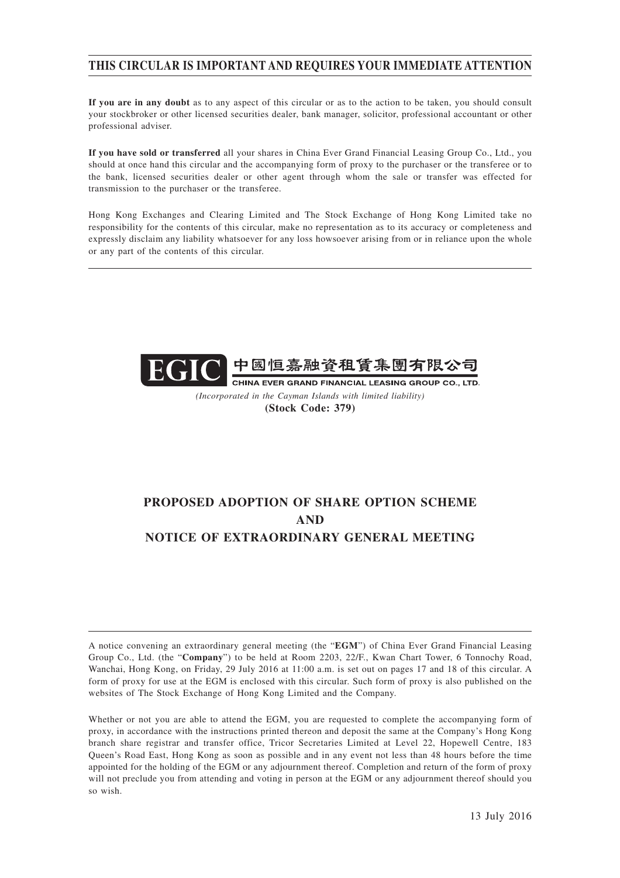# **THIS CIRCULAR IS IMPORTANT AND REQUIRES YOUR IMMEDIATE ATTENTION**

**If you are in any doubt** as to any aspect of this circular or as to the action to be taken, you should consult your stockbroker or other licensed securities dealer, bank manager, solicitor, professional accountant or other professional adviser.

**If you have sold or transferred** all your shares in China Ever Grand Financial Leasing Group Co., Ltd., you should at once hand this circular and the accompanying form of proxy to the purchaser or the transferee or to the bank, licensed securities dealer or other agent through whom the sale or transfer was effected for transmission to the purchaser or the transferee.

Hong Kong Exchanges and Clearing Limited and The Stock Exchange of Hong Kong Limited take no responsibility for the contents of this circular, make no representation as to its accuracy or completeness and expressly disclaim any liability whatsoever for any loss howsoever arising from or in reliance upon the whole or any part of the contents of this circular.



*(Incorporated in the Cayman Islands with limited liability)* **(Stock Code: 379)**

# **PROPOSED ADOPTION OF SHARE OPTION SCHEME AND NOTICE OF EXTRAORDINARY GENERAL MEETING**

A notice convening an extraordinary general meeting (the "**EGM**") of China Ever Grand Financial Leasing Group Co., Ltd. (the "**Company**") to be held at Room 2203, 22/F., Kwan Chart Tower, 6 Tonnochy Road, Wanchai, Hong Kong, on Friday, 29 July 2016 at 11:00 a.m. is set out on pages 17 and 18 of this circular. A form of proxy for use at the EGM is enclosed with this circular. Such form of proxy is also published on the websites of The Stock Exchange of Hong Kong Limited and the Company.

Whether or not you are able to attend the EGM, you are requested to complete the accompanying form of proxy, in accordance with the instructions printed thereon and deposit the same at the Company's Hong Kong branch share registrar and transfer office, Tricor Secretaries Limited at Level 22, Hopewell Centre, 183 Queen's Road East, Hong Kong as soon as possible and in any event not less than 48 hours before the time appointed for the holding of the EGM or any adjournment thereof. Completion and return of the form of proxy will not preclude you from attending and voting in person at the EGM or any adjournment thereof should you so wish.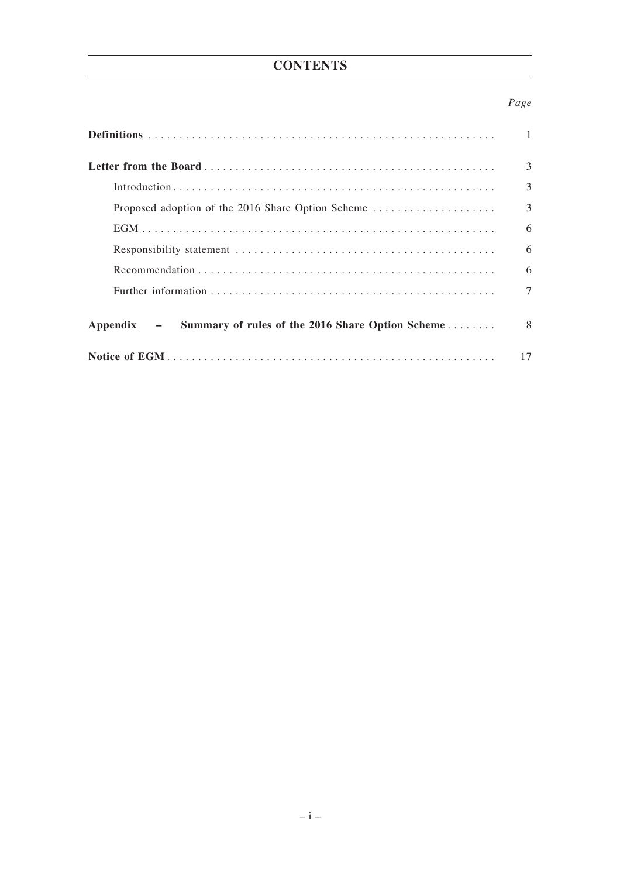# **CONTENTS**

# *Page*

|                                                                  | 3 |
|------------------------------------------------------------------|---|
|                                                                  | 3 |
|                                                                  | 3 |
|                                                                  | 6 |
|                                                                  | 6 |
|                                                                  | 6 |
|                                                                  | 7 |
| Summary of rules of the 2016 Share Option Scheme<br>$Appendix -$ | 8 |
|                                                                  |   |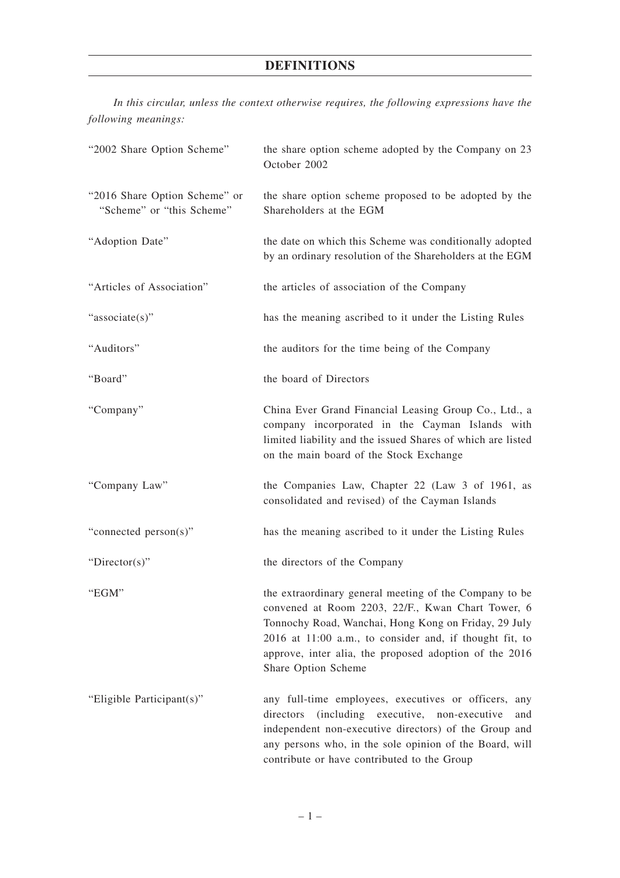# **DEFINITIONS**

*In this circular, unless the context otherwise requires, the following expressions have the following meanings:*

| "2002 Share Option Scheme"                                 | the share option scheme adopted by the Company on 23<br>October 2002                                                                                                                                                                                                                                            |
|------------------------------------------------------------|-----------------------------------------------------------------------------------------------------------------------------------------------------------------------------------------------------------------------------------------------------------------------------------------------------------------|
| "2016 Share Option Scheme" or<br>"Scheme" or "this Scheme" | the share option scheme proposed to be adopted by the<br>Shareholders at the EGM                                                                                                                                                                                                                                |
| "Adoption Date"                                            | the date on which this Scheme was conditionally adopted<br>by an ordinary resolution of the Shareholders at the EGM                                                                                                                                                                                             |
| "Articles of Association"                                  | the articles of association of the Company                                                                                                                                                                                                                                                                      |
| "associate(s)"                                             | has the meaning ascribed to it under the Listing Rules                                                                                                                                                                                                                                                          |
| "Auditors"                                                 | the auditors for the time being of the Company                                                                                                                                                                                                                                                                  |
| "Board"                                                    | the board of Directors                                                                                                                                                                                                                                                                                          |
| "Company"                                                  | China Ever Grand Financial Leasing Group Co., Ltd., a<br>company incorporated in the Cayman Islands with<br>limited liability and the issued Shares of which are listed<br>on the main board of the Stock Exchange                                                                                              |
| "Company Law"                                              | the Companies Law, Chapter 22 (Law 3 of 1961, as<br>consolidated and revised) of the Cayman Islands                                                                                                                                                                                                             |
| "connected person(s)"                                      | has the meaning ascribed to it under the Listing Rules                                                                                                                                                                                                                                                          |
| "Director(s)"                                              | the directors of the Company                                                                                                                                                                                                                                                                                    |
| "EGM"                                                      | the extraordinary general meeting of the Company to be<br>convened at Room 2203, 22/F., Kwan Chart Tower, 6<br>Tonnochy Road, Wanchai, Hong Kong on Friday, 29 July<br>2016 at 11:00 a.m., to consider and, if thought fit, to<br>approve, inter alia, the proposed adoption of the 2016<br>Share Option Scheme |
| "Eligible Participant(s)"                                  | any full-time employees, executives or officers, any<br>(including executive, non-executive<br>directors<br>and<br>independent non-executive directors) of the Group and<br>any persons who, in the sole opinion of the Board, will<br>contribute or have contributed to the Group                              |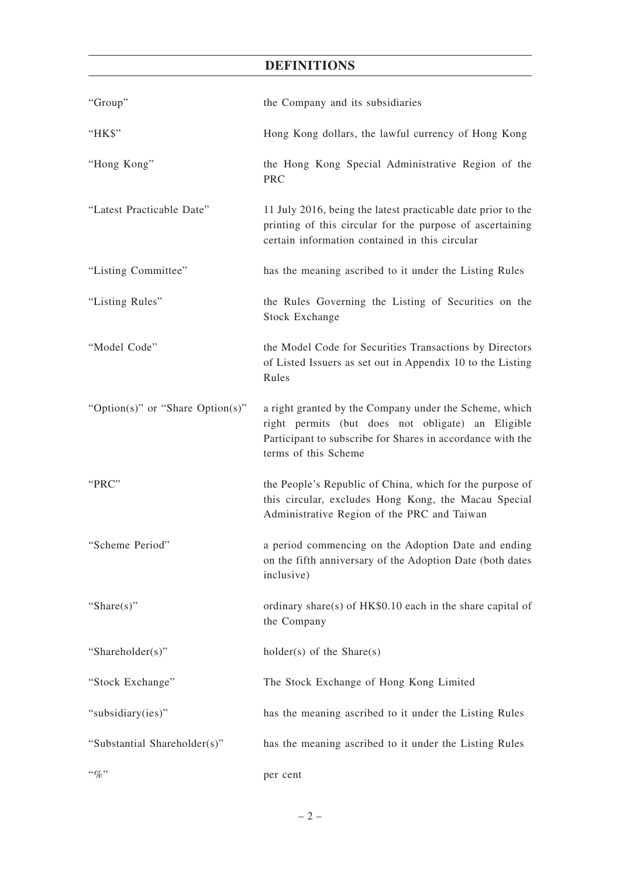# **DEFINITIONS**

| "Group"                          | the Company and its subsidiaries                                                                                                                                                                  |
|----------------------------------|---------------------------------------------------------------------------------------------------------------------------------------------------------------------------------------------------|
| "HK\$"                           | Hong Kong dollars, the lawful currency of Hong Kong                                                                                                                                               |
| "Hong Kong"                      | the Hong Kong Special Administrative Region of the<br><b>PRC</b>                                                                                                                                  |
| "Latest Practicable Date"        | 11 July 2016, being the latest practicable date prior to the<br>printing of this circular for the purpose of ascertaining<br>certain information contained in this circular                       |
| "Listing Committee"              | has the meaning ascribed to it under the Listing Rules                                                                                                                                            |
| "Listing Rules"                  | the Rules Governing the Listing of Securities on the<br><b>Stock Exchange</b>                                                                                                                     |
| "Model Code"                     | the Model Code for Securities Transactions by Directors<br>of Listed Issuers as set out in Appendix 10 to the Listing<br>Rules                                                                    |
| "Option(s)" or "Share Option(s)" | a right granted by the Company under the Scheme, which<br>right permits (but does not obligate) an Eligible<br>Participant to subscribe for Shares in accordance with the<br>terms of this Scheme |
| "PRC"                            | the People's Republic of China, which for the purpose of<br>this circular, excludes Hong Kong, the Macau Special<br>Administrative Region of the PRC and Taiwan                                   |
| "Scheme Period"                  | a period commencing on the Adoption Date and ending<br>on the fifth anniversary of the Adoption Date (both dates<br>inclusive)                                                                    |
| "Share $(s)$ "                   | ordinary share(s) of HK\$0.10 each in the share capital of<br>the Company                                                                                                                         |
| "Shareholder(s)"                 | $holder(s)$ of the Share $(s)$                                                                                                                                                                    |
| "Stock Exchange"                 | The Stock Exchange of Hong Kong Limited                                                                                                                                                           |
| "subsidiary(ies)"                | has the meaning ascribed to it under the Listing Rules                                                                                                                                            |
| "Substantial Shareholder(s)"     | has the meaning ascribed to it under the Listing Rules                                                                                                                                            |
| $``\%"$                          | per cent                                                                                                                                                                                          |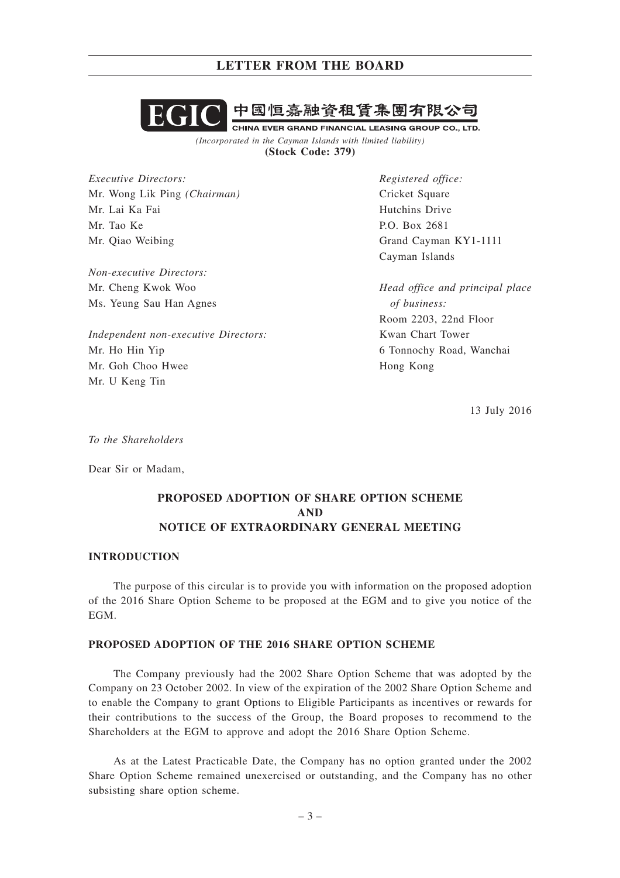

*(Incorporated in the Cayman Islands with limited liability)* **(Stock Code: 379)**

*Executive Directors:* Mr. Wong Lik Ping *(Chairman)* Mr. Lai Ka Fai Mr. Tao Ke Mr. Qiao Weibing

*Non-executive Directors:* Mr. Cheng Kwok Woo Ms. Yeung Sau Han Agnes

*Independent non-executive Directors:* Mr. Ho Hin Yip Mr. Goh Choo Hwee Mr. U Keng Tin

*Registered office:* Cricket Square Hutchins Drive P.O. Box 2681 Grand Cayman KY1-1111 Cayman Islands

*Head office and principal place of business:* Room 2203, 22nd Floor Kwan Chart Tower 6 Tonnochy Road, Wanchai Hong Kong

13 July 2016

*To the Shareholders*

Dear Sir or Madam,

# **PROPOSED ADOPTION OF SHARE OPTION SCHEME AND NOTICE OF EXTRAORDINARY GENERAL MEETING**

#### **INTRODUCTION**

The purpose of this circular is to provide you with information on the proposed adoption of the 2016 Share Option Scheme to be proposed at the EGM and to give you notice of the EGM.

### **PROPOSED ADOPTION OF THE 2016 SHARE OPTION SCHEME**

The Company previously had the 2002 Share Option Scheme that was adopted by the Company on 23 October 2002. In view of the expiration of the 2002 Share Option Scheme and to enable the Company to grant Options to Eligible Participants as incentives or rewards for their contributions to the success of the Group, the Board proposes to recommend to the Shareholders at the EGM to approve and adopt the 2016 Share Option Scheme.

As at the Latest Practicable Date, the Company has no option granted under the 2002 Share Option Scheme remained unexercised or outstanding, and the Company has no other subsisting share option scheme.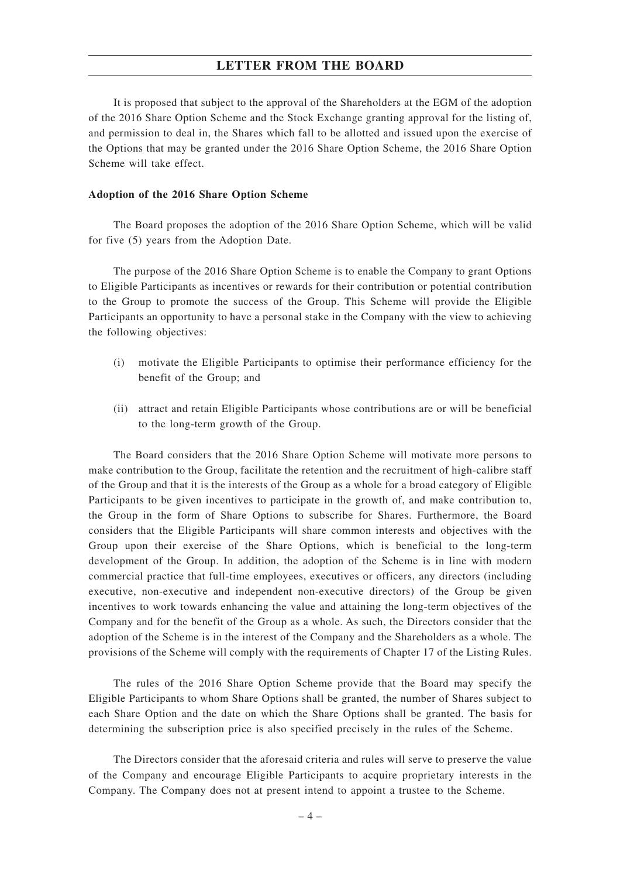It is proposed that subject to the approval of the Shareholders at the EGM of the adoption of the 2016 Share Option Scheme and the Stock Exchange granting approval for the listing of, and permission to deal in, the Shares which fall to be allotted and issued upon the exercise of the Options that may be granted under the 2016 Share Option Scheme, the 2016 Share Option Scheme will take effect.

#### **Adoption of the 2016 Share Option Scheme**

The Board proposes the adoption of the 2016 Share Option Scheme, which will be valid for five (5) years from the Adoption Date.

The purpose of the 2016 Share Option Scheme is to enable the Company to grant Options to Eligible Participants as incentives or rewards for their contribution or potential contribution to the Group to promote the success of the Group. This Scheme will provide the Eligible Participants an opportunity to have a personal stake in the Company with the view to achieving the following objectives:

- (i) motivate the Eligible Participants to optimise their performance efficiency for the benefit of the Group; and
- (ii) attract and retain Eligible Participants whose contributions are or will be beneficial to the long-term growth of the Group.

The Board considers that the 2016 Share Option Scheme will motivate more persons to make contribution to the Group, facilitate the retention and the recruitment of high-calibre staff of the Group and that it is the interests of the Group as a whole for a broad category of Eligible Participants to be given incentives to participate in the growth of, and make contribution to, the Group in the form of Share Options to subscribe for Shares. Furthermore, the Board considers that the Eligible Participants will share common interests and objectives with the Group upon their exercise of the Share Options, which is beneficial to the long-term development of the Group. In addition, the adoption of the Scheme is in line with modern commercial practice that full-time employees, executives or officers, any directors (including executive, non-executive and independent non-executive directors) of the Group be given incentives to work towards enhancing the value and attaining the long-term objectives of the Company and for the benefit of the Group as a whole. As such, the Directors consider that the adoption of the Scheme is in the interest of the Company and the Shareholders as a whole. The provisions of the Scheme will comply with the requirements of Chapter 17 of the Listing Rules.

The rules of the 2016 Share Option Scheme provide that the Board may specify the Eligible Participants to whom Share Options shall be granted, the number of Shares subject to each Share Option and the date on which the Share Options shall be granted. The basis for determining the subscription price is also specified precisely in the rules of the Scheme.

The Directors consider that the aforesaid criteria and rules will serve to preserve the value of the Company and encourage Eligible Participants to acquire proprietary interests in the Company. The Company does not at present intend to appoint a trustee to the Scheme.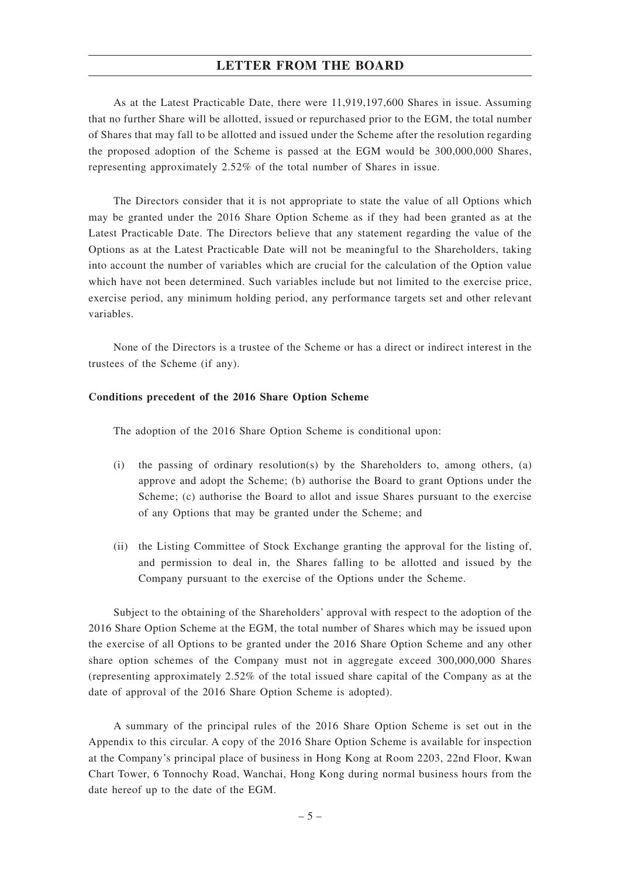As at the Latest Practicable Date, there were 11,919,197,600 Shares in issue. Assuming that no further Share will be allotted, issued or repurchased prior to the EGM, the total number of Shares that may fall to be allotted and issued under the Scheme after the resolution regarding the proposed adoption of the Scheme is passed at the EGM would be 300,000,000 Shares, representing approximately 2.52% of the total number of Shares in issue.

The Directors consider that it is not appropriate to state the value of all Options which may be granted under the 2016 Share Option Scheme as if they had been granted as at the Latest Practicable Date. The Directors believe that any statement regarding the value of the Options as at the Latest Practicable Date will not be meaningful to the Shareholders, taking into account the number of variables which are crucial for the calculation of the Option value which have not been determined. Such variables include but not limited to the exercise price, exercise period, any minimum holding period, any performance targets set and other relevant variables.

None of the Directors is a trustee of the Scheme or has a direct or indirect interest in the trustees of the Scheme (if any).

#### **Conditions precedent of the 2016 Share Option Scheme**

The adoption of the 2016 Share Option Scheme is conditional upon:

- (i) the passing of ordinary resolution(s) by the Shareholders to, among others, (a) approve and adopt the Scheme; (b) authorise the Board to grant Options under the Scheme; (c) authorise the Board to allot and issue Shares pursuant to the exercise of any Options that may be granted under the Scheme; and
- (ii) the Listing Committee of Stock Exchange granting the approval for the listing of, and permission to deal in, the Shares falling to be allotted and issued by the Company pursuant to the exercise of the Options under the Scheme.

Subject to the obtaining of the Shareholders' approval with respect to the adoption of the 2016 Share Option Scheme at the EGM, the total number of Shares which may be issued upon the exercise of all Options to be granted under the 2016 Share Option Scheme and any other share option schemes of the Company must not in aggregate exceed 300,000,000 Shares (representing approximately 2.52% of the total issued share capital of the Company as at the date of approval of the 2016 Share Option Scheme is adopted).

A summary of the principal rules of the 2016 Share Option Scheme is set out in the Appendix to this circular. A copy of the 2016 Share Option Scheme is available for inspection at the Company's principal place of business in Hong Kong at Room 2203, 22nd Floor, Kwan Chart Tower, 6 Tonnochy Road, Wanchai, Hong Kong during normal business hours from the date hereof up to the date of the EGM.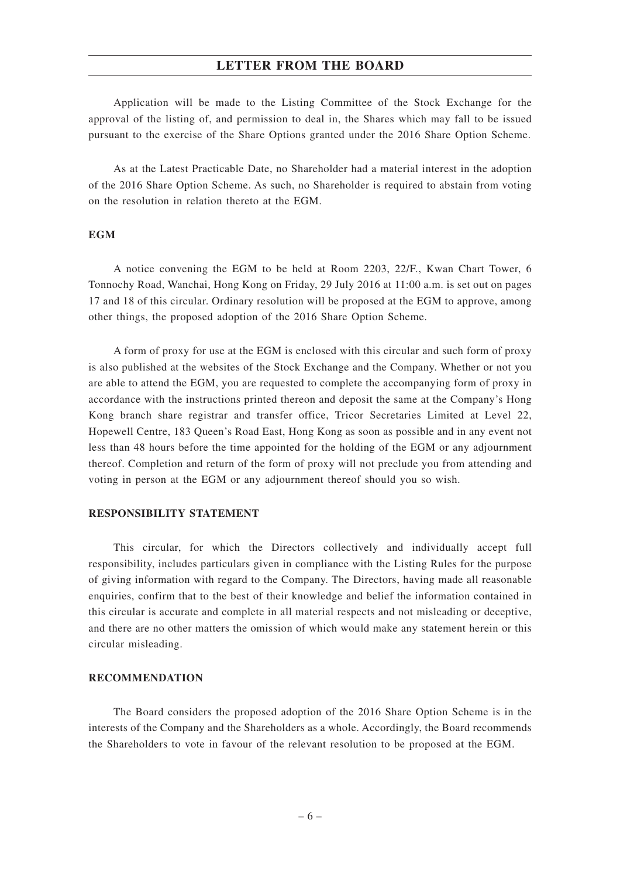Application will be made to the Listing Committee of the Stock Exchange for the approval of the listing of, and permission to deal in, the Shares which may fall to be issued pursuant to the exercise of the Share Options granted under the 2016 Share Option Scheme.

As at the Latest Practicable Date, no Shareholder had a material interest in the adoption of the 2016 Share Option Scheme. As such, no Shareholder is required to abstain from voting on the resolution in relation thereto at the EGM.

### **EGM**

A notice convening the EGM to be held at Room 2203, 22/F., Kwan Chart Tower, 6 Tonnochy Road, Wanchai, Hong Kong on Friday, 29 July 2016 at 11:00 a.m. is set out on pages 17 and 18 of this circular. Ordinary resolution will be proposed at the EGM to approve, among other things, the proposed adoption of the 2016 Share Option Scheme.

A form of proxy for use at the EGM is enclosed with this circular and such form of proxy is also published at the websites of the Stock Exchange and the Company. Whether or not you are able to attend the EGM, you are requested to complete the accompanying form of proxy in accordance with the instructions printed thereon and deposit the same at the Company's Hong Kong branch share registrar and transfer office, Tricor Secretaries Limited at Level 22, Hopewell Centre, 183 Queen's Road East, Hong Kong as soon as possible and in any event not less than 48 hours before the time appointed for the holding of the EGM or any adjournment thereof. Completion and return of the form of proxy will not preclude you from attending and voting in person at the EGM or any adjournment thereof should you so wish.

#### **RESPONSIBILITY STATEMENT**

This circular, for which the Directors collectively and individually accept full responsibility, includes particulars given in compliance with the Listing Rules for the purpose of giving information with regard to the Company. The Directors, having made all reasonable enquiries, confirm that to the best of their knowledge and belief the information contained in this circular is accurate and complete in all material respects and not misleading or deceptive, and there are no other matters the omission of which would make any statement herein or this circular misleading.

#### **RECOMMENDATION**

The Board considers the proposed adoption of the 2016 Share Option Scheme is in the interests of the Company and the Shareholders as a whole. Accordingly, the Board recommends the Shareholders to vote in favour of the relevant resolution to be proposed at the EGM.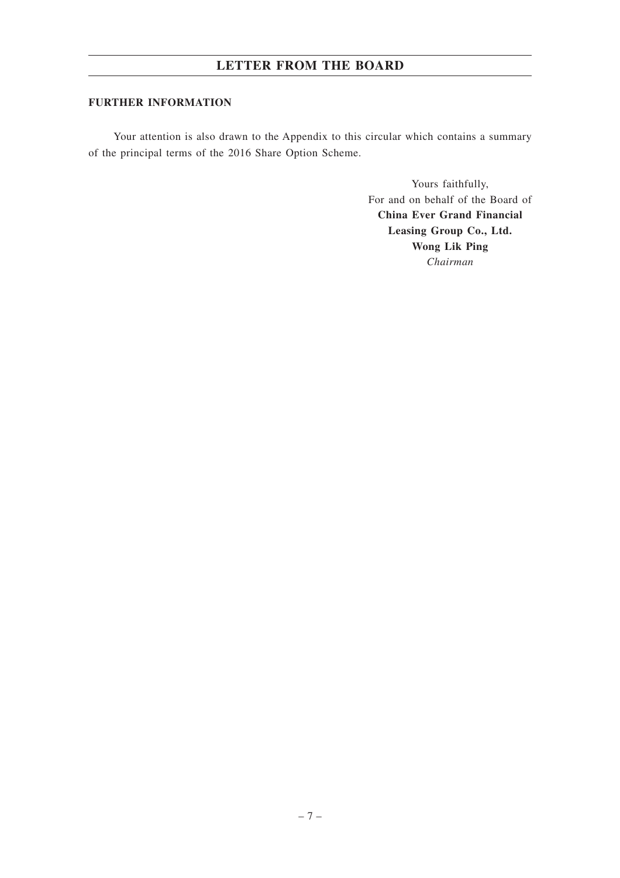### **FURTHER INFORMATION**

Your attention is also drawn to the Appendix to this circular which contains a summary of the principal terms of the 2016 Share Option Scheme.

> Yours faithfully, For and on behalf of the Board of **China Ever Grand Financial Leasing Group Co., Ltd. Wong Lik Ping** *Chairman*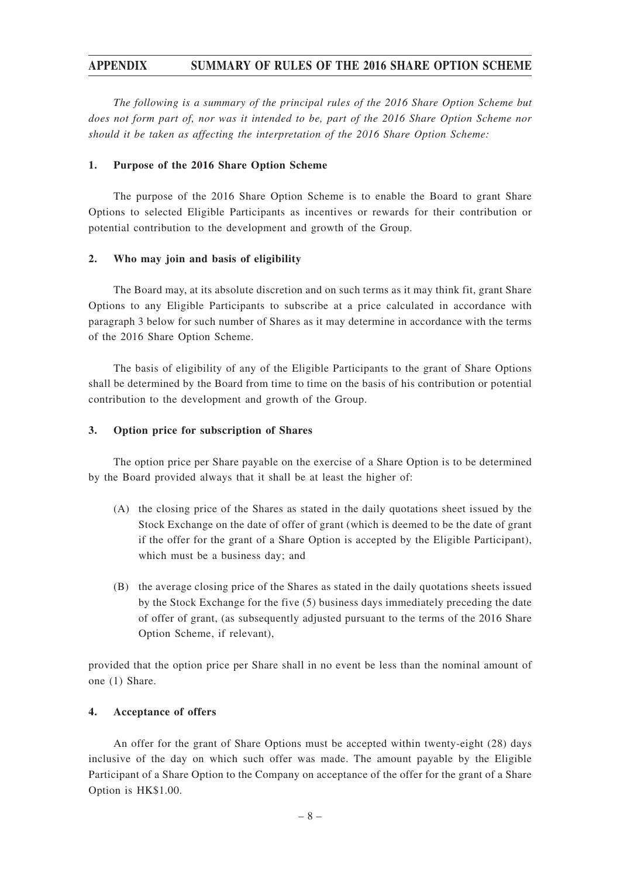*The following is a summary of the principal rules of the 2016 Share Option Scheme but does not form part of, nor was it intended to be, part of the 2016 Share Option Scheme nor should it be taken as affecting the interpretation of the 2016 Share Option Scheme:*

### **1. Purpose of the 2016 Share Option Scheme**

The purpose of the 2016 Share Option Scheme is to enable the Board to grant Share Options to selected Eligible Participants as incentives or rewards for their contribution or potential contribution to the development and growth of the Group.

### **2. Who may join and basis of eligibility**

The Board may, at its absolute discretion and on such terms as it may think fit, grant Share Options to any Eligible Participants to subscribe at a price calculated in accordance with paragraph 3 below for such number of Shares as it may determine in accordance with the terms of the 2016 Share Option Scheme.

The basis of eligibility of any of the Eligible Participants to the grant of Share Options shall be determined by the Board from time to time on the basis of his contribution or potential contribution to the development and growth of the Group.

### **3. Option price for subscription of Shares**

The option price per Share payable on the exercise of a Share Option is to be determined by the Board provided always that it shall be at least the higher of:

- (A) the closing price of the Shares as stated in the daily quotations sheet issued by the Stock Exchange on the date of offer of grant (which is deemed to be the date of grant if the offer for the grant of a Share Option is accepted by the Eligible Participant), which must be a business day; and
- (B) the average closing price of the Shares as stated in the daily quotations sheets issued by the Stock Exchange for the five (5) business days immediately preceding the date of offer of grant, (as subsequently adjusted pursuant to the terms of the 2016 Share Option Scheme, if relevant),

provided that the option price per Share shall in no event be less than the nominal amount of one (1) Share.

### **4. Acceptance of offers**

An offer for the grant of Share Options must be accepted within twenty-eight (28) days inclusive of the day on which such offer was made. The amount payable by the Eligible Participant of a Share Option to the Company on acceptance of the offer for the grant of a Share Option is HK\$1.00.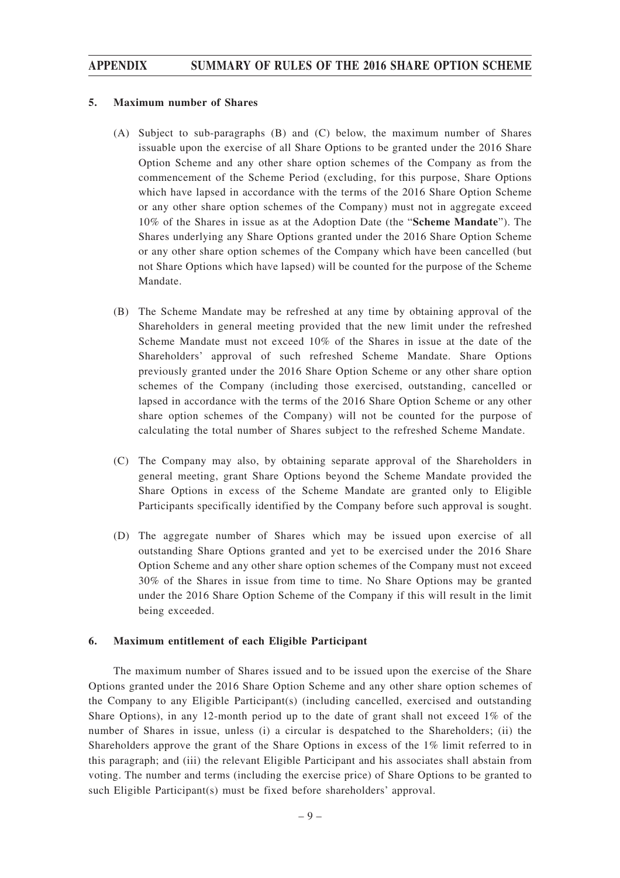#### **5. Maximum number of Shares**

- (A) Subject to sub-paragraphs (B) and (C) below, the maximum number of Shares issuable upon the exercise of all Share Options to be granted under the 2016 Share Option Scheme and any other share option schemes of the Company as from the commencement of the Scheme Period (excluding, for this purpose, Share Options which have lapsed in accordance with the terms of the 2016 Share Option Scheme or any other share option schemes of the Company) must not in aggregate exceed 10% of the Shares in issue as at the Adoption Date (the "**Scheme Mandate**"). The Shares underlying any Share Options granted under the 2016 Share Option Scheme or any other share option schemes of the Company which have been cancelled (but not Share Options which have lapsed) will be counted for the purpose of the Scheme Mandate.
- (B) The Scheme Mandate may be refreshed at any time by obtaining approval of the Shareholders in general meeting provided that the new limit under the refreshed Scheme Mandate must not exceed 10% of the Shares in issue at the date of the Shareholders' approval of such refreshed Scheme Mandate. Share Options previously granted under the 2016 Share Option Scheme or any other share option schemes of the Company (including those exercised, outstanding, cancelled or lapsed in accordance with the terms of the 2016 Share Option Scheme or any other share option schemes of the Company) will not be counted for the purpose of calculating the total number of Shares subject to the refreshed Scheme Mandate.
- (C) The Company may also, by obtaining separate approval of the Shareholders in general meeting, grant Share Options beyond the Scheme Mandate provided the Share Options in excess of the Scheme Mandate are granted only to Eligible Participants specifically identified by the Company before such approval is sought.
- (D) The aggregate number of Shares which may be issued upon exercise of all outstanding Share Options granted and yet to be exercised under the 2016 Share Option Scheme and any other share option schemes of the Company must not exceed 30% of the Shares in issue from time to time. No Share Options may be granted under the 2016 Share Option Scheme of the Company if this will result in the limit being exceeded.

#### **6. Maximum entitlement of each Eligible Participant**

The maximum number of Shares issued and to be issued upon the exercise of the Share Options granted under the 2016 Share Option Scheme and any other share option schemes of the Company to any Eligible Participant(s) (including cancelled, exercised and outstanding Share Options), in any 12-month period up to the date of grant shall not exceed 1% of the number of Shares in issue, unless (i) a circular is despatched to the Shareholders; (ii) the Shareholders approve the grant of the Share Options in excess of the 1% limit referred to in this paragraph; and (iii) the relevant Eligible Participant and his associates shall abstain from voting. The number and terms (including the exercise price) of Share Options to be granted to such Eligible Participant(s) must be fixed before shareholders' approval.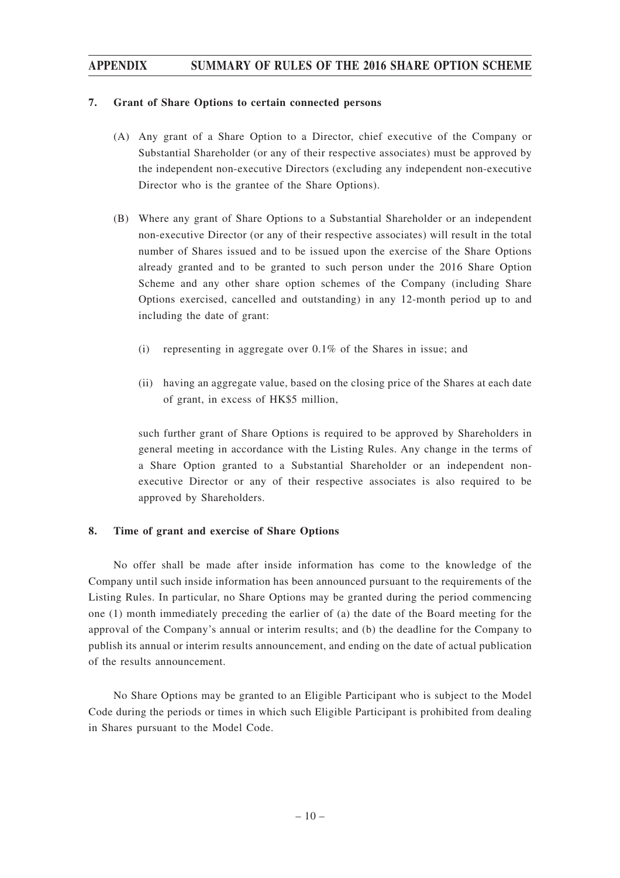#### **7. Grant of Share Options to certain connected persons**

- (A) Any grant of a Share Option to a Director, chief executive of the Company or Substantial Shareholder (or any of their respective associates) must be approved by the independent non-executive Directors (excluding any independent non-executive Director who is the grantee of the Share Options).
- (B) Where any grant of Share Options to a Substantial Shareholder or an independent non-executive Director (or any of their respective associates) will result in the total number of Shares issued and to be issued upon the exercise of the Share Options already granted and to be granted to such person under the 2016 Share Option Scheme and any other share option schemes of the Company (including Share Options exercised, cancelled and outstanding) in any 12-month period up to and including the date of grant:
	- (i) representing in aggregate over 0.1% of the Shares in issue; and
	- (ii) having an aggregate value, based on the closing price of the Shares at each date of grant, in excess of HK\$5 million,

such further grant of Share Options is required to be approved by Shareholders in general meeting in accordance with the Listing Rules. Any change in the terms of a Share Option granted to a Substantial Shareholder or an independent nonexecutive Director or any of their respective associates is also required to be approved by Shareholders.

### **8. Time of grant and exercise of Share Options**

No offer shall be made after inside information has come to the knowledge of the Company until such inside information has been announced pursuant to the requirements of the Listing Rules. In particular, no Share Options may be granted during the period commencing one (1) month immediately preceding the earlier of (a) the date of the Board meeting for the approval of the Company's annual or interim results; and (b) the deadline for the Company to publish its annual or interim results announcement, and ending on the date of actual publication of the results announcement.

No Share Options may be granted to an Eligible Participant who is subject to the Model Code during the periods or times in which such Eligible Participant is prohibited from dealing in Shares pursuant to the Model Code.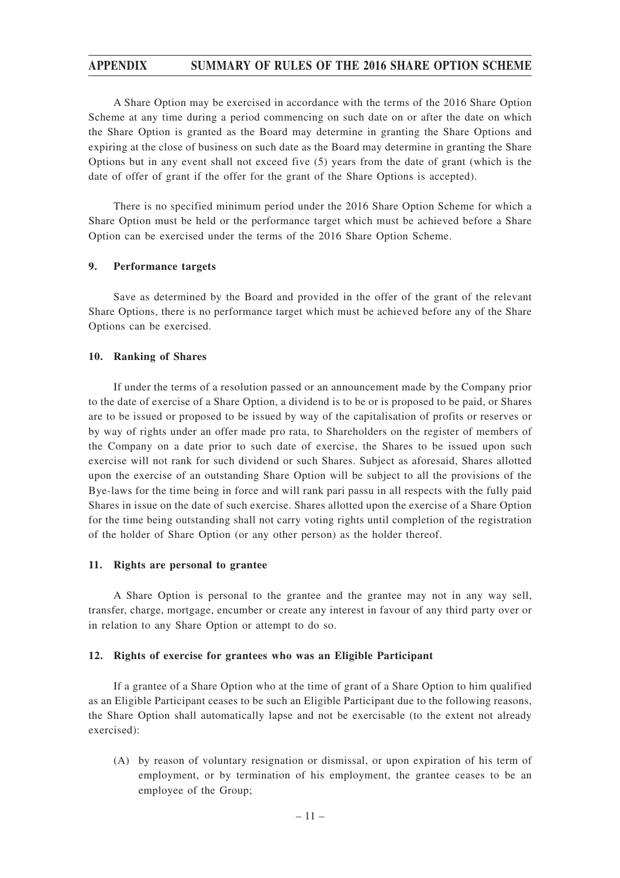A Share Option may be exercised in accordance with the terms of the 2016 Share Option Scheme at any time during a period commencing on such date on or after the date on which the Share Option is granted as the Board may determine in granting the Share Options and expiring at the close of business on such date as the Board may determine in granting the Share Options but in any event shall not exceed five (5) years from the date of grant (which is the date of offer of grant if the offer for the grant of the Share Options is accepted).

There is no specified minimum period under the 2016 Share Option Scheme for which a Share Option must be held or the performance target which must be achieved before a Share Option can be exercised under the terms of the 2016 Share Option Scheme.

#### **9. Performance targets**

Save as determined by the Board and provided in the offer of the grant of the relevant Share Options, there is no performance target which must be achieved before any of the Share Options can be exercised.

#### **10. Ranking of Shares**

If under the terms of a resolution passed or an announcement made by the Company prior to the date of exercise of a Share Option, a dividend is to be or is proposed to be paid, or Shares are to be issued or proposed to be issued by way of the capitalisation of profits or reserves or by way of rights under an offer made pro rata, to Shareholders on the register of members of the Company on a date prior to such date of exercise, the Shares to be issued upon such exercise will not rank for such dividend or such Shares. Subject as aforesaid, Shares allotted upon the exercise of an outstanding Share Option will be subject to all the provisions of the Bye-laws for the time being in force and will rank pari passu in all respects with the fully paid Shares in issue on the date of such exercise. Shares allotted upon the exercise of a Share Option for the time being outstanding shall not carry voting rights until completion of the registration of the holder of Share Option (or any other person) as the holder thereof.

#### **11. Rights are personal to grantee**

A Share Option is personal to the grantee and the grantee may not in any way sell, transfer, charge, mortgage, encumber or create any interest in favour of any third party over or in relation to any Share Option or attempt to do so.

#### **12. Rights of exercise for grantees who was an Eligible Participant**

If a grantee of a Share Option who at the time of grant of a Share Option to him qualified as an Eligible Participant ceases to be such an Eligible Participant due to the following reasons, the Share Option shall automatically lapse and not be exercisable (to the extent not already exercised):

(A) by reason of voluntary resignation or dismissal, or upon expiration of his term of employment, or by termination of his employment, the grantee ceases to be an employee of the Group;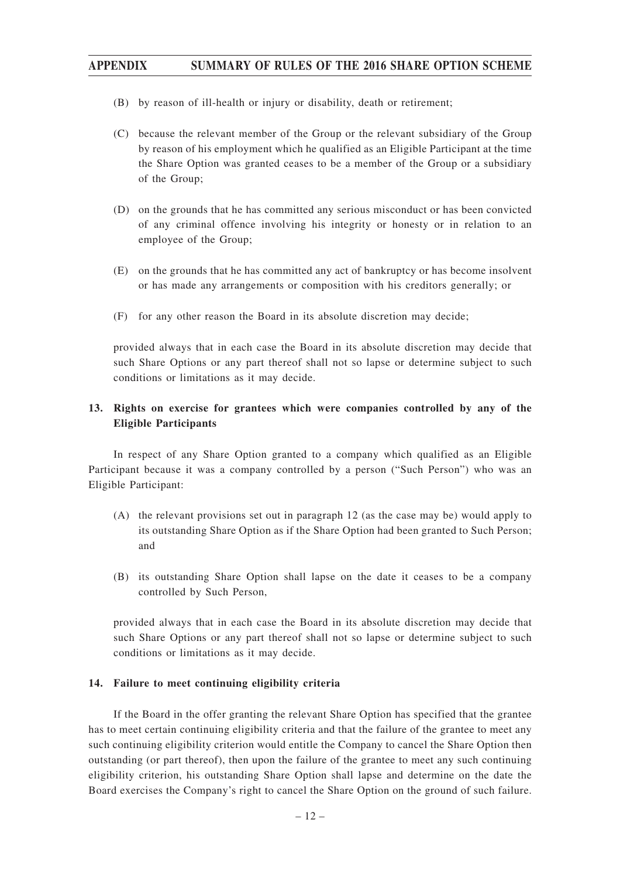- (B) by reason of ill-health or injury or disability, death or retirement;
- (C) because the relevant member of the Group or the relevant subsidiary of the Group by reason of his employment which he qualified as an Eligible Participant at the time the Share Option was granted ceases to be a member of the Group or a subsidiary of the Group;
- (D) on the grounds that he has committed any serious misconduct or has been convicted of any criminal offence involving his integrity or honesty or in relation to an employee of the Group;
- (E) on the grounds that he has committed any act of bankruptcy or has become insolvent or has made any arrangements or composition with his creditors generally; or
- (F) for any other reason the Board in its absolute discretion may decide;

provided always that in each case the Board in its absolute discretion may decide that such Share Options or any part thereof shall not so lapse or determine subject to such conditions or limitations as it may decide.

## **13. Rights on exercise for grantees which were companies controlled by any of the Eligible Participants**

In respect of any Share Option granted to a company which qualified as an Eligible Participant because it was a company controlled by a person ("Such Person") who was an Eligible Participant:

- (A) the relevant provisions set out in paragraph 12 (as the case may be) would apply to its outstanding Share Option as if the Share Option had been granted to Such Person; and
- (B) its outstanding Share Option shall lapse on the date it ceases to be a company controlled by Such Person,

provided always that in each case the Board in its absolute discretion may decide that such Share Options or any part thereof shall not so lapse or determine subject to such conditions or limitations as it may decide.

#### **14. Failure to meet continuing eligibility criteria**

If the Board in the offer granting the relevant Share Option has specified that the grantee has to meet certain continuing eligibility criteria and that the failure of the grantee to meet any such continuing eligibility criterion would entitle the Company to cancel the Share Option then outstanding (or part thereof), then upon the failure of the grantee to meet any such continuing eligibility criterion, his outstanding Share Option shall lapse and determine on the date the Board exercises the Company's right to cancel the Share Option on the ground of such failure.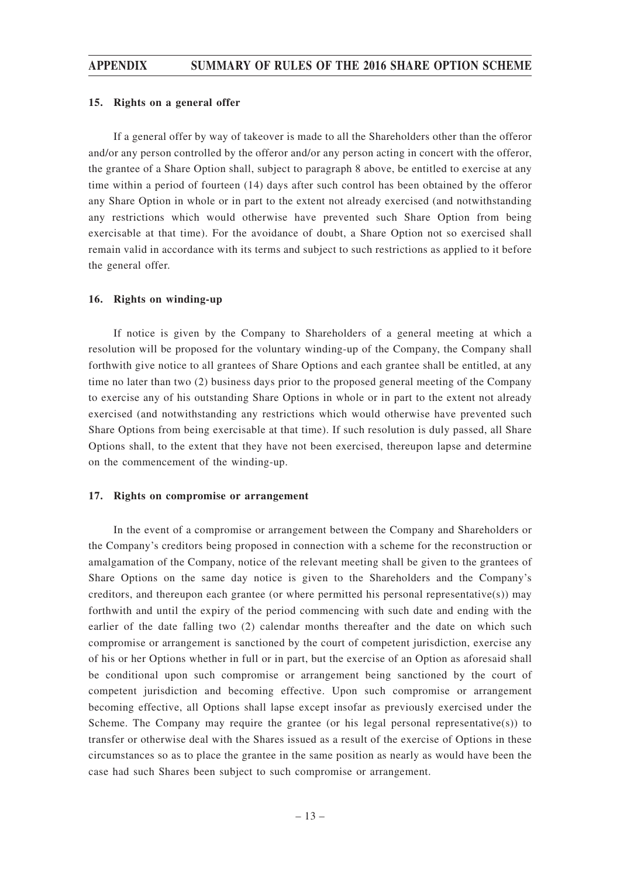#### **15. Rights on a general offer**

If a general offer by way of takeover is made to all the Shareholders other than the offeror and/or any person controlled by the offeror and/or any person acting in concert with the offeror, the grantee of a Share Option shall, subject to paragraph 8 above, be entitled to exercise at any time within a period of fourteen (14) days after such control has been obtained by the offeror any Share Option in whole or in part to the extent not already exercised (and notwithstanding any restrictions which would otherwise have prevented such Share Option from being exercisable at that time). For the avoidance of doubt, a Share Option not so exercised shall remain valid in accordance with its terms and subject to such restrictions as applied to it before the general offer.

#### **16. Rights on winding-up**

If notice is given by the Company to Shareholders of a general meeting at which a resolution will be proposed for the voluntary winding-up of the Company, the Company shall forthwith give notice to all grantees of Share Options and each grantee shall be entitled, at any time no later than two (2) business days prior to the proposed general meeting of the Company to exercise any of his outstanding Share Options in whole or in part to the extent not already exercised (and notwithstanding any restrictions which would otherwise have prevented such Share Options from being exercisable at that time). If such resolution is duly passed, all Share Options shall, to the extent that they have not been exercised, thereupon lapse and determine on the commencement of the winding-up.

#### **17. Rights on compromise or arrangement**

In the event of a compromise or arrangement between the Company and Shareholders or the Company's creditors being proposed in connection with a scheme for the reconstruction or amalgamation of the Company, notice of the relevant meeting shall be given to the grantees of Share Options on the same day notice is given to the Shareholders and the Company's creditors, and thereupon each grantee (or where permitted his personal representative(s)) may forthwith and until the expiry of the period commencing with such date and ending with the earlier of the date falling two (2) calendar months thereafter and the date on which such compromise or arrangement is sanctioned by the court of competent jurisdiction, exercise any of his or her Options whether in full or in part, but the exercise of an Option as aforesaid shall be conditional upon such compromise or arrangement being sanctioned by the court of competent jurisdiction and becoming effective. Upon such compromise or arrangement becoming effective, all Options shall lapse except insofar as previously exercised under the Scheme. The Company may require the grantee (or his legal personal representative(s)) to transfer or otherwise deal with the Shares issued as a result of the exercise of Options in these circumstances so as to place the grantee in the same position as nearly as would have been the case had such Shares been subject to such compromise or arrangement.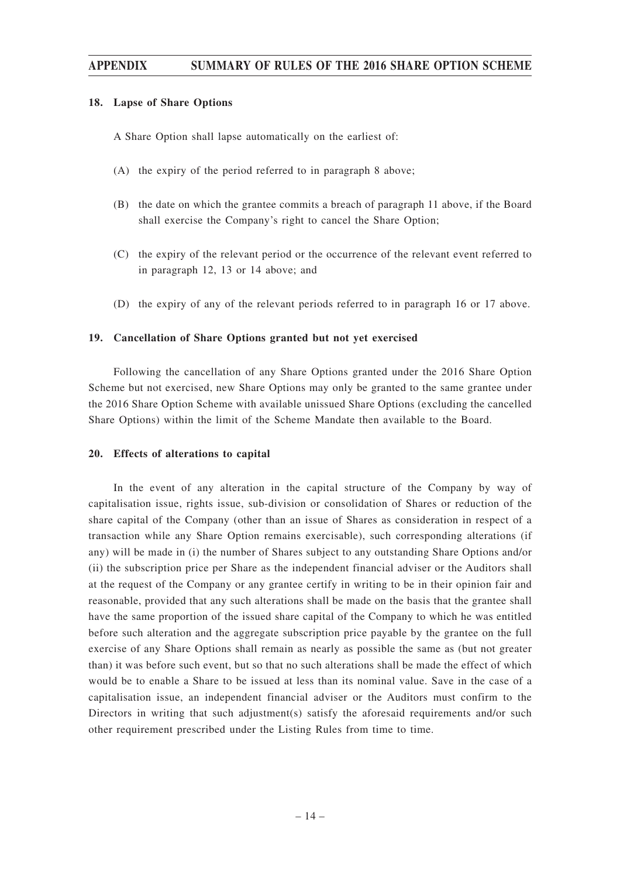#### **18. Lapse of Share Options**

A Share Option shall lapse automatically on the earliest of:

- (A) the expiry of the period referred to in paragraph 8 above;
- (B) the date on which the grantee commits a breach of paragraph 11 above, if the Board shall exercise the Company's right to cancel the Share Option;
- (C) the expiry of the relevant period or the occurrence of the relevant event referred to in paragraph 12, 13 or 14 above; and
- (D) the expiry of any of the relevant periods referred to in paragraph 16 or 17 above.

#### **19. Cancellation of Share Options granted but not yet exercised**

Following the cancellation of any Share Options granted under the 2016 Share Option Scheme but not exercised, new Share Options may only be granted to the same grantee under the 2016 Share Option Scheme with available unissued Share Options (excluding the cancelled Share Options) within the limit of the Scheme Mandate then available to the Board.

#### **20. Effects of alterations to capital**

In the event of any alteration in the capital structure of the Company by way of capitalisation issue, rights issue, sub-division or consolidation of Shares or reduction of the share capital of the Company (other than an issue of Shares as consideration in respect of a transaction while any Share Option remains exercisable), such corresponding alterations (if any) will be made in (i) the number of Shares subject to any outstanding Share Options and/or (ii) the subscription price per Share as the independent financial adviser or the Auditors shall at the request of the Company or any grantee certify in writing to be in their opinion fair and reasonable, provided that any such alterations shall be made on the basis that the grantee shall have the same proportion of the issued share capital of the Company to which he was entitled before such alteration and the aggregate subscription price payable by the grantee on the full exercise of any Share Options shall remain as nearly as possible the same as (but not greater than) it was before such event, but so that no such alterations shall be made the effect of which would be to enable a Share to be issued at less than its nominal value. Save in the case of a capitalisation issue, an independent financial adviser or the Auditors must confirm to the Directors in writing that such adjustment(s) satisfy the aforesaid requirements and/or such other requirement prescribed under the Listing Rules from time to time.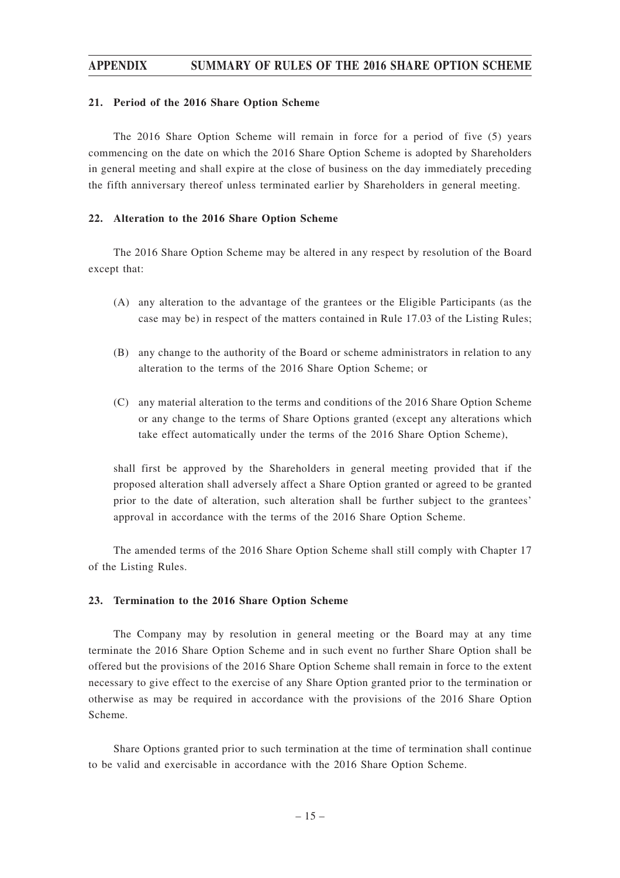#### **21. Period of the 2016 Share Option Scheme**

The 2016 Share Option Scheme will remain in force for a period of five (5) years commencing on the date on which the 2016 Share Option Scheme is adopted by Shareholders in general meeting and shall expire at the close of business on the day immediately preceding the fifth anniversary thereof unless terminated earlier by Shareholders in general meeting.

#### **22. Alteration to the 2016 Share Option Scheme**

The 2016 Share Option Scheme may be altered in any respect by resolution of the Board except that:

- (A) any alteration to the advantage of the grantees or the Eligible Participants (as the case may be) in respect of the matters contained in Rule 17.03 of the Listing Rules;
- (B) any change to the authority of the Board or scheme administrators in relation to any alteration to the terms of the 2016 Share Option Scheme; or
- (C) any material alteration to the terms and conditions of the 2016 Share Option Scheme or any change to the terms of Share Options granted (except any alterations which take effect automatically under the terms of the 2016 Share Option Scheme),

shall first be approved by the Shareholders in general meeting provided that if the proposed alteration shall adversely affect a Share Option granted or agreed to be granted prior to the date of alteration, such alteration shall be further subject to the grantees' approval in accordance with the terms of the 2016 Share Option Scheme.

The amended terms of the 2016 Share Option Scheme shall still comply with Chapter 17 of the Listing Rules.

#### **23. Termination to the 2016 Share Option Scheme**

The Company may by resolution in general meeting or the Board may at any time terminate the 2016 Share Option Scheme and in such event no further Share Option shall be offered but the provisions of the 2016 Share Option Scheme shall remain in force to the extent necessary to give effect to the exercise of any Share Option granted prior to the termination or otherwise as may be required in accordance with the provisions of the 2016 Share Option Scheme.

Share Options granted prior to such termination at the time of termination shall continue to be valid and exercisable in accordance with the 2016 Share Option Scheme.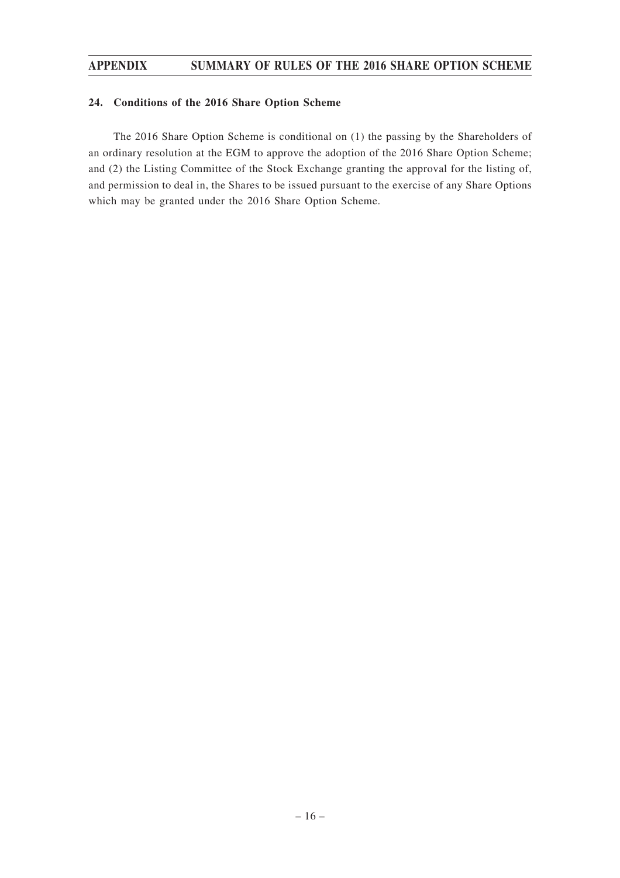### **24. Conditions of the 2016 Share Option Scheme**

The 2016 Share Option Scheme is conditional on (1) the passing by the Shareholders of an ordinary resolution at the EGM to approve the adoption of the 2016 Share Option Scheme; and (2) the Listing Committee of the Stock Exchange granting the approval for the listing of, and permission to deal in, the Shares to be issued pursuant to the exercise of any Share Options which may be granted under the 2016 Share Option Scheme.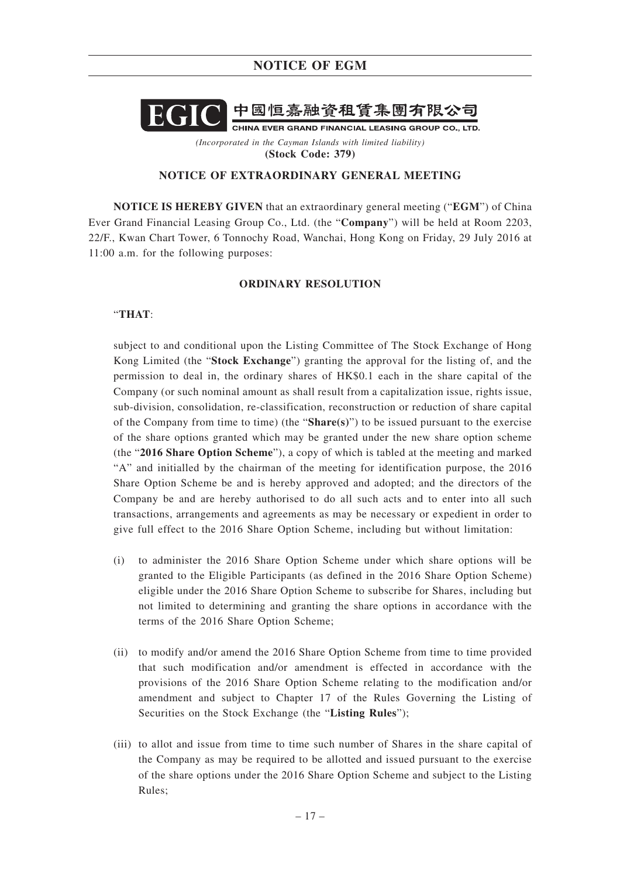# **NOTICE OF EGM**



*(Incorporated in the Cayman Islands with limited liability)* **(Stock Code: 379)**

#### **NOTICE OF EXTRAORDINARY GENERAL MEETING**

**NOTICE IS HEREBY GIVEN** that an extraordinary general meeting ("**EGM**") of China Ever Grand Financial Leasing Group Co., Ltd. (the "**Company**") will be held at Room 2203, 22/F., Kwan Chart Tower, 6 Tonnochy Road, Wanchai, Hong Kong on Friday, 29 July 2016 at 11:00 a.m. for the following purposes:

#### **ORDINARY RESOLUTION**

#### "**THAT**:

subject to and conditional upon the Listing Committee of The Stock Exchange of Hong Kong Limited (the "**Stock Exchange**") granting the approval for the listing of, and the permission to deal in, the ordinary shares of HK\$0.1 each in the share capital of the Company (or such nominal amount as shall result from a capitalization issue, rights issue, sub-division, consolidation, re-classification, reconstruction or reduction of share capital of the Company from time to time) (the "**Share(s)**") to be issued pursuant to the exercise of the share options granted which may be granted under the new share option scheme (the "**2016 Share Option Scheme**"), a copy of which is tabled at the meeting and marked "A" and initialled by the chairman of the meeting for identification purpose, the 2016 Share Option Scheme be and is hereby approved and adopted; and the directors of the Company be and are hereby authorised to do all such acts and to enter into all such transactions, arrangements and agreements as may be necessary or expedient in order to give full effect to the 2016 Share Option Scheme, including but without limitation:

- (i) to administer the 2016 Share Option Scheme under which share options will be granted to the Eligible Participants (as defined in the 2016 Share Option Scheme) eligible under the 2016 Share Option Scheme to subscribe for Shares, including but not limited to determining and granting the share options in accordance with the terms of the 2016 Share Option Scheme;
- (ii) to modify and/or amend the 2016 Share Option Scheme from time to time provided that such modification and/or amendment is effected in accordance with the provisions of the 2016 Share Option Scheme relating to the modification and/or amendment and subject to Chapter 17 of the Rules Governing the Listing of Securities on the Stock Exchange (the "**Listing Rules**");
- (iii) to allot and issue from time to time such number of Shares in the share capital of the Company as may be required to be allotted and issued pursuant to the exercise of the share options under the 2016 Share Option Scheme and subject to the Listing Rules;